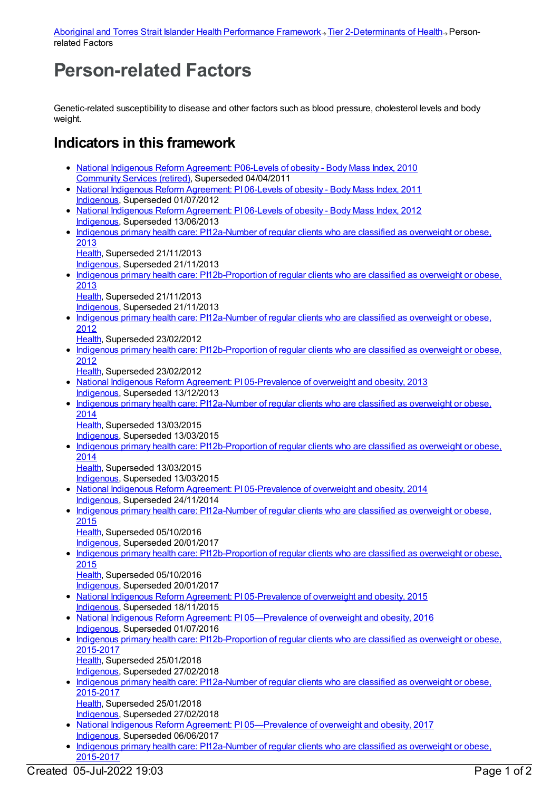## **Person-related Factors**

Genetic-related susceptibility to disease and other factors such as blood pressure, cholesterol levels and body weight.

## **Indicators in this framework**

- National Indigenous Reform [Agreement:](https://meteor.aihw.gov.au/content/396448) P06-Levels of obesity Body Mass Index, 2010 [Community](https://meteor.aihw.gov.au/RegistrationAuthority/1) Services (retired), Superseded 04/04/2011
- National Indigenous Reform [Agreement:](https://meteor.aihw.gov.au/content/425746) PI 06-Levels of obesity Body Mass Index, 2011 [Indigenous](https://meteor.aihw.gov.au/RegistrationAuthority/6), Superseded 01/07/2012
- National Indigenous Reform [Agreement:](https://meteor.aihw.gov.au/content/438587) PI 06-Levels of obesity Body Mass Index, 2012 [Indigenous](https://meteor.aihw.gov.au/RegistrationAuthority/6), Superseded 13/06/2013
- Indigenous primary health care: [PI12a-Number](https://meteor.aihw.gov.au/content/468117) of regular clients who are classified as overweight or obese, 2013 [Health](https://meteor.aihw.gov.au/RegistrationAuthority/12), Superseded 21/11/2013
	- [Indigenous](https://meteor.aihw.gov.au/RegistrationAuthority/6), Superseded 21/11/2013
- Indigenous primary health care: [PI12b-Proportion](https://meteor.aihw.gov.au/content/468119) of regular clients who are classified as overweight or obese, 2013
	- [Health](https://meteor.aihw.gov.au/RegistrationAuthority/12), Superseded 21/11/2013
	- [Indigenous](https://meteor.aihw.gov.au/RegistrationAuthority/6), Superseded 21/11/2013
- Indigenous primary health care: [PI12a-Number](https://meteor.aihw.gov.au/content/432455) of regular clients who are classified as overweight or obese, 2012
	- [Health](https://meteor.aihw.gov.au/RegistrationAuthority/12), Superseded 23/02/2012
- Indigenous primary health care: [PI12b-Proportion](https://meteor.aihw.gov.au/content/430733) of regular clients who are classified as overweight or obese, 2012
	- [Health](https://meteor.aihw.gov.au/RegistrationAuthority/12), Superseded 23/02/2012
- National Indigenous Reform Agreement: PI [05-Prevalence](https://meteor.aihw.gov.au/content/483079) of overweight and obesity, 2013 [Indigenous](https://meteor.aihw.gov.au/RegistrationAuthority/6), Superseded 13/12/2013
- Indigenous primary health care: [PI12a-Number](https://meteor.aihw.gov.au/content/504718) of regular clients who are classified as overweight or obese, 2014 [Health](https://meteor.aihw.gov.au/RegistrationAuthority/12), Superseded 13/03/2015
	- [Indigenous](https://meteor.aihw.gov.au/RegistrationAuthority/6), Superseded 13/03/2015
- Indigenous primary health care: [PI12b-Proportion](https://meteor.aihw.gov.au/content/504729) of regular clients who are classified as overweight or obese. 2014
	- [Health](https://meteor.aihw.gov.au/RegistrationAuthority/12), Superseded 13/03/2015 [Indigenous](https://meteor.aihw.gov.au/RegistrationAuthority/6), Superseded 13/03/2015
- National Indigenous Reform Agreement: PI [05-Prevalence](https://meteor.aihw.gov.au/content/525842) of overweight and obesity, 2014 [Indigenous](https://meteor.aihw.gov.au/RegistrationAuthority/6), Superseded 24/11/2014
- Indigenous primary health care: [PI12a-Number](https://meteor.aihw.gov.au/content/589039) of regular clients who are classified as overweight or obese, 2015 [Health](https://meteor.aihw.gov.au/RegistrationAuthority/12), Superseded 05/10/2016
	- [Indigenous](https://meteor.aihw.gov.au/RegistrationAuthority/6), Superseded 20/01/2017
- Indigenous primary health care: [PI12b-Proportion](https://meteor.aihw.gov.au/content/589041) of regular clients who are classified as overweight or obese, 2015
	- [Health](https://meteor.aihw.gov.au/RegistrationAuthority/12), Superseded 05/10/2016 [Indigenous](https://meteor.aihw.gov.au/RegistrationAuthority/6), Superseded 20/01/2017
- National Indigenous Reform Agreement: PI [05-Prevalence](https://meteor.aihw.gov.au/content/579072) of overweight and obesity, 2015 [Indigenous](https://meteor.aihw.gov.au/RegistrationAuthority/6), Superseded 18/11/2015
- National Indigenous Reform Agreement: PI 05-Prevalence of overweight and obesity, 2016 [Indigenous](https://meteor.aihw.gov.au/RegistrationAuthority/6), Superseded 01/07/2016
- Indigenous primary health care: [PI12b-Proportion](https://meteor.aihw.gov.au/content/663934) of regular clients who are classified as overweight or obese, 2015-2017
	- [Health](https://meteor.aihw.gov.au/RegistrationAuthority/12), Superseded 25/01/2018
	- [Indigenous](https://meteor.aihw.gov.au/RegistrationAuthority/6), Superseded 27/02/2018
- Indigenous primary health care: [PI12a-Number](https://meteor.aihw.gov.au/content/663944) of regular clients who are classified as overweight or obese, 2015-2017
	- [Health](https://meteor.aihw.gov.au/RegistrationAuthority/12), Superseded 25/01/2018 [Indigenous](https://meteor.aihw.gov.au/RegistrationAuthority/6), Superseded 27/02/2018
- National Indigenous Reform Agreement: PI [05—Prevalence](https://meteor.aihw.gov.au/content/645391) of overweight and obesity, 2017 [Indigenous](https://meteor.aihw.gov.au/RegistrationAuthority/6), Superseded 06/06/2017
- Indigenous primary health care: [PI12a-Number](https://meteor.aihw.gov.au/content/686468) of regular clients who are classified as overweight or obese, 2015-2017